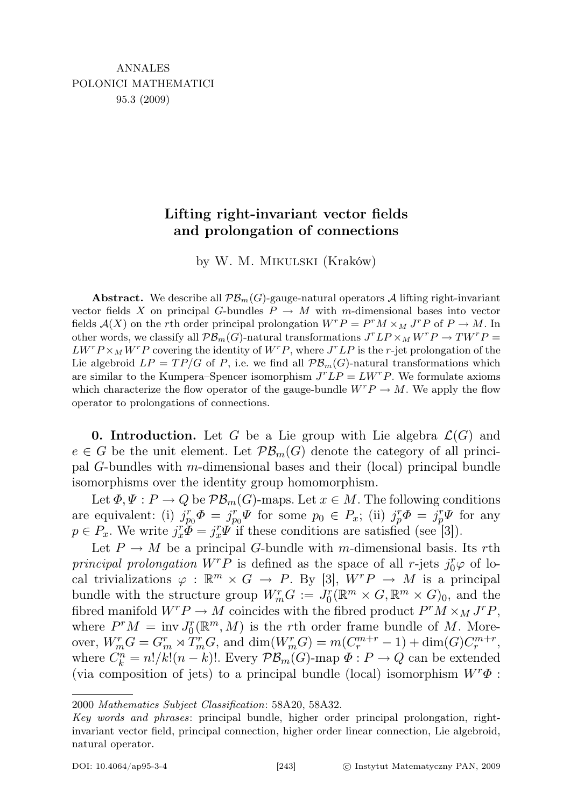## Lifting right-invariant vector fields and prolongation of connections

by W. M. Mikulski (Kraków)

**Abstract.** We describe all  $\mathcal{PB}_m(G)$ -gauge-natural operators A lifting right-invariant vector fields X on principal G-bundles  $P \to M$  with m-dimensional bases into vector fields  $\mathcal{A}(X)$  on the rth order principal prolongation  $W^r P = P^r M \times_M J^r P$  of  $P \to M$ . In other words, we classify all  $\mathcal{PB}_m(G)$ -natural transformations  $J^r L P \times_M W^r P \to T W^r P =$  $LW^{r}P \times_{M} W^{r}P$  covering the identity of  $W^{r}P$ , where  $J^{r}LP$  is the r-jet prolongation of the Lie algebroid  $LP = TP/G$  of P, i.e. we find all  $PB<sub>m</sub>(G)$ -natural transformations which are similar to the Kumpera–Spencer isomorphism  $J^r L P = L W^r P$ . We formulate axioms which characterize the flow operator of the gauge-bundle  $W^r P \to M$ . We apply the flow operator to prolongations of connections.

**0. Introduction.** Let G be a Lie group with Lie algebra  $\mathcal{L}(G)$  and  $e \in G$  be the unit element. Let  $\mathcal{PB}_m(G)$  denote the category of all principal G-bundles with m-dimensional bases and their (local) principal bundle isomorphisms over the identity group homomorphism.

Let  $\Phi, \Psi : P \to Q$  be  $\mathcal{PB}_m(G)$ -maps. Let  $x \in M$ . The following conditions are equivalent: (i)  $j_{p_0}^r \Phi = j_{p_0}^r \Psi$  for some  $p_0 \in P_x$ ; (ii)  $j_p^r \Phi = j_p^r \Psi$  for any  $p \in P_x$ . We write  $j_x^r \widetilde{\Phi} = j_x^r \Psi$  if these conditions are satisfied (see [3]).

Let  $P \to M$  be a principal G-bundle with m-dimensional basis. Its rth principal prolongation  $W^r P$  is defined as the space of all r-jets  $j_0^r \varphi$  of local trivializations  $\varphi : \mathbb{R}^m \times G \to P$ . By [3],  $W^r P \to M$  is a principal bundle with the structure group  $W_m^r G := J_0^r (\mathbb{R}^m \times G, \mathbb{R}^m \times G)_0$ , and the fibred manifold  $W^r P \to M$  coincides with the fibred product  $P^r M \times_M J^r P$ , where  $P^rM = \text{inv } J_0^r(\mathbb{R}^m, M)$  is the rth order frame bundle of M. Moreover,  $W_m^r G = G_m^r \rtimes \overset{\sim}{T_m^r} G$ , and  $\dim(W_m^r G) = m(C_r^{m+r} - 1) + \dim(G)C_r^{m+r}$ , where  $C_k^n = n!/k!(n-k)!$ . Every  $\mathcal{PB}_m(G)$ -map  $\Phi: P \to Q$  can be extended (via composition of jets) to a principal bundle (local) isomorphism  $W^r\Phi$ :

<sup>2000</sup> Mathematics Subject Classification: 58A20, 58A32.

Key words and phrases: principal bundle, higher order principal prolongation, rightinvariant vector field, principal connection, higher order linear connection, Lie algebroid, natural operator.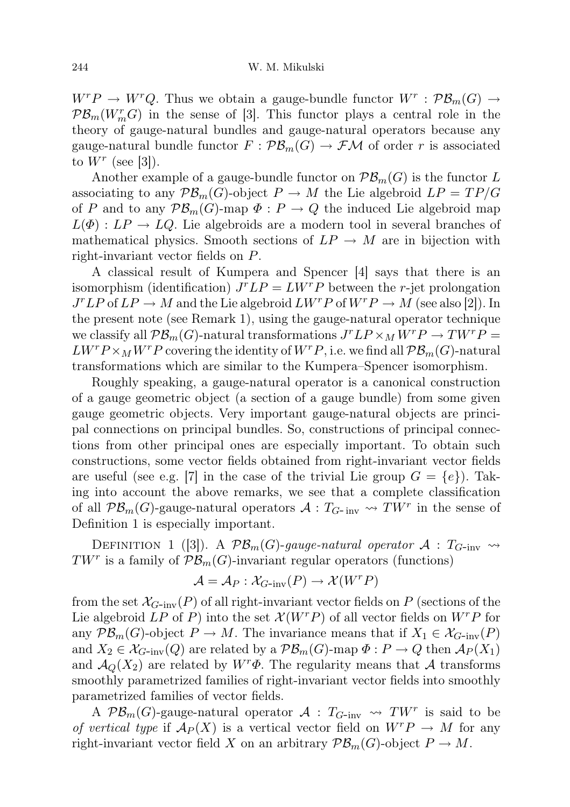$W^r P \to W^r Q$ . Thus we obtain a gauge-bundle functor  $W^r : \mathcal{PB}_m(G) \to$  $\mathcal{PB}_m(W_m^rG)$  in the sense of [3]. This functor plays a central role in the theory of gauge-natural bundles and gauge-natural operators because any gauge-natural bundle functor  $F: \mathcal{PB}_m(G) \to \mathcal{FM}$  of order r is associated to  $W^r$  (see [3]).

Another example of a gauge-bundle functor on  $\mathcal{PB}_m(G)$  is the functor L associating to any  $\mathcal{PB}_m(G)$ -object  $P \to M$  the Lie algebroid  $LP = TP/G$ of P and to any  $\mathcal{PB}_m(G)$ -map  $\Phi: P \to Q$  the induced Lie algebroid map  $L(\Phi): LP \to LQ$ . Lie algebroids are a modern tool in several branches of mathematical physics. Smooth sections of  $LP \rightarrow M$  are in bijection with right-invariant vector fields on P.

A classical result of Kumpera and Spencer [4] says that there is an isomorphism (identification)  $J^r L P = L W^r P$  between the r-jet prolongation  $J^rLP$  of  $LP \to M$  and the Lie algebroid  $LW^rP$  of  $W^rP \to M$  (see also [2]). In the present note (see Remark 1), using the gauge-natural operator technique we classify all  $\mathcal{PB}_m(G)$ -natural transformations  $J^rLP \times_M W^rP \to TW^rP =$  $LW^r P \times_M W^r P$  covering the identity of  $W^r P$ , i.e. we find all  $\mathcal{PB}_m(G)$ -natural transformations which are similar to the Kumpera–Spencer isomorphism.

Roughly speaking, a gauge-natural operator is a canonical construction of a gauge geometric object (a section of a gauge bundle) from some given gauge geometric objects. Very important gauge-natural objects are principal connections on principal bundles. So, constructions of principal connections from other principal ones are especially important. To obtain such constructions, some vector fields obtained from right-invariant vector fields are useful (see e.g. [7] in the case of the trivial Lie group  $G = \{e\}$ ). Taking into account the above remarks, we see that a complete classification of all  $\mathcal{PB}_m(G)$ -gauge-natural operators  $\mathcal{A}:T_{G-inv}\rightsquigarrow TW^r$  in the sense of Definition 1 is especially important.

DEFINITION 1 ([3]). A  $\mathcal{PB}_m(G)$ -gauge-natural operator  $\mathcal{A}: T_{G\text{-inv}} \rightsquigarrow$  $TW^r$  is a family of  $\mathcal{PB}_m(G)$ -invariant regular operators (functions)

$$
\mathcal{A} = \mathcal{A}_P : \mathcal{X}_{G\text{-inv}}(P) \to \mathcal{X}(W^r P)
$$

from the set  $\mathcal{X}_{G-\text{inv}}(P)$  of all right-invariant vector fields on P (sections of the Lie algebroid LP of P) into the set  $\mathcal{X}(W^rP)$  of all vector fields on  $W^rP$  for any  $\mathcal{PB}_m(G)$ -object  $P \to M$ . The invariance means that if  $X_1 \in \mathcal{X}_{G\text{-inv}}(P)$ and  $X_2 \in \mathcal{X}_{G\text{-inv}}(Q)$  are related by a  $\mathcal{PB}_m(G)\text{-map }\Phi: P \to Q$  then  $\mathcal{A}_P(X_1)$ and  $\mathcal{A}_{Q}(X_2)$  are related by  $W^r\Phi$ . The regularity means that A transforms smoothly parametrized families of right-invariant vector fields into smoothly parametrized families of vector fields.

A  $\mathcal{PB}_m(G)$ -gauge-natural operator  $\mathcal{A}$  :  $T_{G\text{-inv}} \rightsquigarrow TW^r$  is said to be of vertical type if  $A_P(X)$  is a vertical vector field on  $W^r P \to M$  for any right-invariant vector field X on an arbitrary  $\mathcal{PB}_m(G)$ -object  $P \to M$ .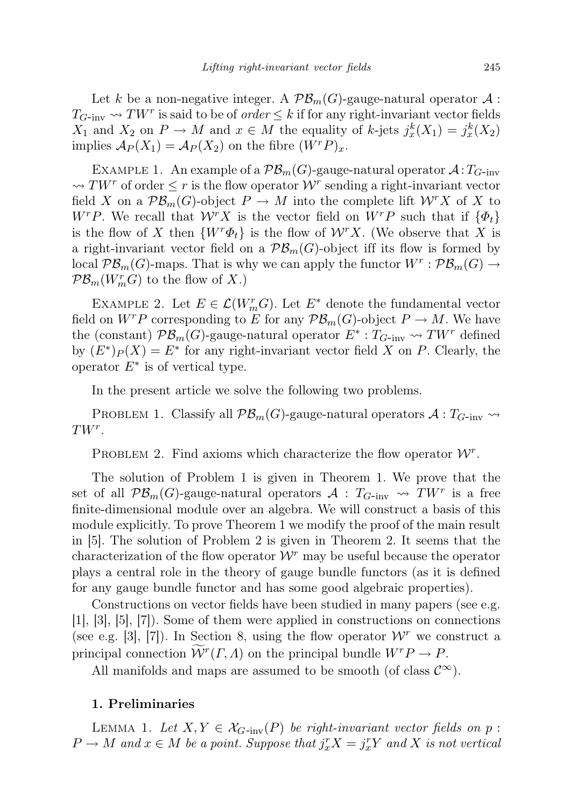Let k be a non-negative integer. A  $\mathcal{PB}_m(G)$ -gauge-natural operator  $\mathcal{A}$ :  $T_{G\text{-inv}} \leadsto TW^r$  is said to be of *order*  $\leq k$  if for any right-invariant vector fields  $X_1$  and  $X_2$  on  $P \to M$  and  $x \in M$  the equality of k-jets  $j_x^k(X_1) = j_x^k(X_2)$ implies  $\mathcal{A}_P(X_1) = \mathcal{A}_P(X_2)$  on the fibre  $(W^r P)_x$ .

EXAMPLE 1. An example of a  $\mathcal{PB}_m(G)$ -gauge-natural operator  $\mathcal{A}:T_{G-inv}$  $\rightsquigarrow TW^r$  of order  $\leq r$  is the flow operator  $\mathcal{W}^r$  sending a right-invariant vector field X on a  $\mathcal{PB}_m(G)$ -object  $P \to M$  into the complete lift  $\mathcal{W}^r X$  of X to  $W^rP$ . We recall that  $\mathcal{W}^rX$  is the vector field on  $W^rP$  such that if  $\{\Phi_t\}$ is the flow of X then  $\{W^r\Phi_t\}$  is the flow of  $\mathcal{W}^rX$ . (We observe that X is a right-invariant vector field on a  $\mathcal{PB}_m(G)$ -object iff its flow is formed by local  $\mathcal{PB}_m(G)$ -maps. That is why we can apply the functor  $W^r: \mathcal{PB}_m(G) \to$  $\mathcal{PB}_m(W_m^rG)$  to the flow of X.)

EXAMPLE 2. Let  $E \in \mathcal{L}(W_m^r G)$ . Let  $E^*$  denote the fundamental vector field on  $W^r P$  corresponding to E for any  $\mathcal{PB}_m(G)$ -object  $P \to M$ . We have the (constant)  $\mathcal{PB}_m(G)$ -gauge-natural operator  $E^*: T_{G\text{-inv}} \rightsquigarrow TW^r$  defined by  $(E^*)_P(X) = E^*$  for any right-invariant vector field X on P. Clearly, the operator  $E^*$  is of vertical type.

In the present article we solve the following two problems.

PROBLEM 1. Classify all  $\mathcal{PB}_m(G)$ -gauge-natural operators  $\mathcal{A}:T_{G-inv}\rightsquigarrow$  $TW^r$ .

PROBLEM 2. Find axioms which characterize the flow operator  $\mathcal{W}^r$ .

The solution of Problem 1 is given in Theorem 1. We prove that the set of all  $\mathcal{PB}_m(G)$ -gauge-natural operators  $\mathcal{A}$  :  $T_{G-\text{inv}} \leadsto TW^r$  is a free finite-dimensional module over an algebra. We will construct a basis of this module explicitly. To prove Theorem 1 we modify the proof of the main result in [5]. The solution of Problem 2 is given in Theorem 2. It seems that the characterization of the flow operator  $\mathcal{W}^r$  may be useful because the operator plays a central role in the theory of gauge bundle functors (as it is defined for any gauge bundle functor and has some good algebraic properties).

Constructions on vector fields have been studied in many papers (see e.g. [1], [3], [5], [7]). Some of them were applied in constructions on connections (see e.g. [3], [7]). In Section 8, using the flow operator  $W^r$  we construct a principal connection  $\widetilde{\mathcal{W}}^r(\Gamma, \Lambda)$  on the principal bundle  $W^r P \to P$ .

All manifolds and maps are assumed to be smooth (of class  $\mathcal{C}^{\infty}$ ).

## 1. Preliminaries

LEMMA 1. Let  $X, Y \in \mathcal{X}_{G\text{-inv}}(P)$  be right-invariant vector fields on p:  $P \to M$  and  $x \in M$  be a point. Suppose that  $j_x^r X = j_x^r Y$  and X is not vertical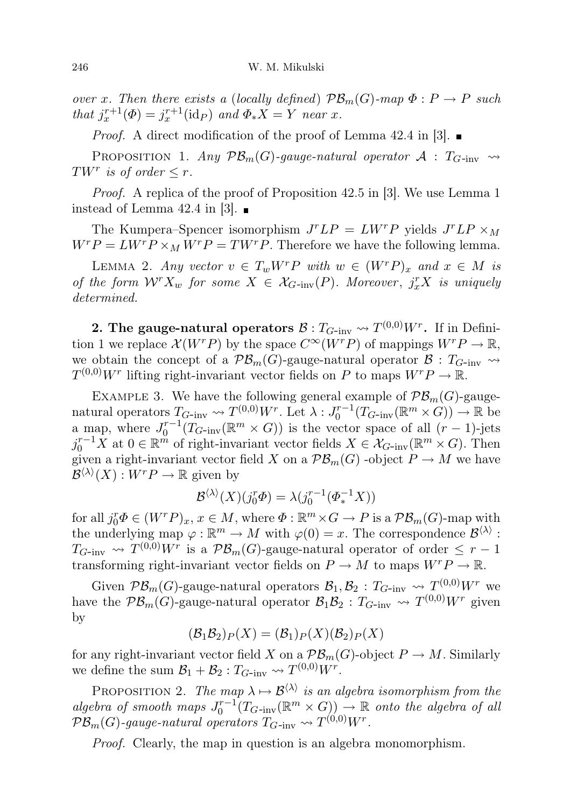over x. Then there exists a (locally defined)  $\mathcal{PB}_m(G)$ -map  $\Phi: P \to P$  such that  $j_x^{r+1}(\Phi) = j_x^{r+1}(\text{id}_P)$  and  $\Phi_* X = Y$  near x.

*Proof.* A direct modification of the proof of Lemma 42.4 in [3].  $\blacksquare$ 

PROPOSITION 1. Any  $\mathcal{PB}_m(G)$ -gauge-natural operator  $\mathcal{A}$  :  $T_{G\text{-inv}} \rightsquigarrow$ TW<sup>r</sup> is of order  $\leq r$ .

Proof. A replica of the proof of Proposition 42.5 in [3]. We use Lemma 1 instead of Lemma 42.4 in [3].  $\blacksquare$ 

The Kumpera–Spencer isomorphism  $J^r L P = L W^r P$  yields  $J^r L P \times_M$  $W^r P = L W^r P \times_M W^r P = T W^r P$ . Therefore we have the following lemma.

LEMMA 2. Any vector  $v \in T_w W^r P$  with  $w \in (W^r P)_x$  and  $x \in M$  is of the form  $W^r X_w$  for some  $X \in \mathcal{X}_{G\text{-inv}}(P)$ . Moreover,  $j_x^r X$  is uniquely determined.

2. The gauge-natural operators  $\mathcal{B}: T_{G\text{-inv}} \leadsto T^{(0,0)} W^r.$  If in Definition 1 we replace  $\mathcal{X}(W^rP)$  by the space  $C^{\infty}(W^rP)$  of mappings  $W^rP \to \mathbb{R}$ , we obtain the concept of a  $\mathcal{PB}_m(G)$ -gauge-natural operator  $\mathcal{B}: T_{G-inv} \rightarrow$  $T^{(0,0)}W^r$  lifting right-invariant vector fields on P to maps  $W^r P \to \mathbb{R}$ .

EXAMPLE 3. We have the following general example of  $\mathcal{PB}_m(G)$ -gaugenatural operators  $T_{G\text{-inv}} \rightsquigarrow T^{(0,0)}W^r$ . Let  $\lambda: J_0^{r-1}(T_{G\text{-inv}}(\mathbb{R}^m \times G)) \rightarrow \mathbb{R}$  be a map, where  $J_0^{r-1}(T_{G\text{-inv}}(\mathbb{R}^m \times G))$  is the vector space of all  $(r-1)$ -jets  $j_0^{r-1}X$  at  $0 \in \mathbb{R}^m$  of right-invariant vector fields  $X \in \mathcal{X}_{G\text{-inv}}(\mathbb{R}^m \times G)$ . Then given a right-invariant vector field X on a  $\mathcal{PB}_m(G)$  -object  $P \to M$  we have  $\mathcal{B}^{\langle\lambda\rangle}(X): W^r P \to \mathbb{R}$  given by

$$
\mathcal{B}^{\langle \lambda \rangle}(X)(j_0^r \Phi) = \lambda(j_0^{r-1}(\Phi_*^{-1}X))
$$

for all  $j_0^r \Phi \in (W^r P)_x$ ,  $x \in M$ , where  $\Phi : \mathbb{R}^m \times G \to P$  is a  $\mathcal{PB}_m(G)$ -map with the underlying map  $\varphi : \mathbb{R}^m \to M$  with  $\varphi(0) = x$ . The correspondence  $\mathcal{B}^{\langle \lambda \rangle}$ :  $T_{G\text{-inv}} \rightsquigarrow T^{(0,0)}W^r$  is a  $\mathcal{PB}_m(G)$ -gauge-natural operator of order  $\leq r-1$ transforming right-invariant vector fields on  $P \to M$  to maps  $W^r P \to \mathbb{R}$ .

Given  $\mathcal{PB}_m(G)$ -gauge-natural operators  $\mathcal{B}_1, \mathcal{B}_2 : T_{G-\text{inv}} \leadsto T^{(0,0)}W^r$  we have the  $\mathcal{PB}_m(G)$ -gauge-natural operator  $\mathcal{B}_1 \mathcal{B}_2 : T_{G-\text{inv}} \leadsto T^{(0,0)} W^r$  given by

$$
(\mathcal{B}_1 \mathcal{B}_2) \mathcal{P}(X) = (\mathcal{B}_1) \mathcal{P}(X) (\mathcal{B}_2) \mathcal{P}(X)
$$

for any right-invariant vector field X on a  $\mathcal{PB}_m(G)$ -object  $P \to M$ . Similarly we define the sum  $\mathcal{B}_1 + \mathcal{B}_2 : T_{G\text{-inv}} \rightsquigarrow T^{(0,0)} W^r$ .

PROPOSITION 2. The map  $\lambda \mapsto \mathcal{B}^{\langle \lambda \rangle}$  is an algebra isomorphism from the algebra of smooth maps  $J_0^{r-1}(T_G-_{\text{inv}}(\mathbb{R}^m\times G))\to \mathbb{R}$  onto the algebra of all  $\mathcal{PB}_m(G)$ -gauge-natural operators  $T_{G\text{-inv}} \rightsquigarrow T^{(0,0)} W^r$ .

Proof. Clearly, the map in question is an algebra monomorphism.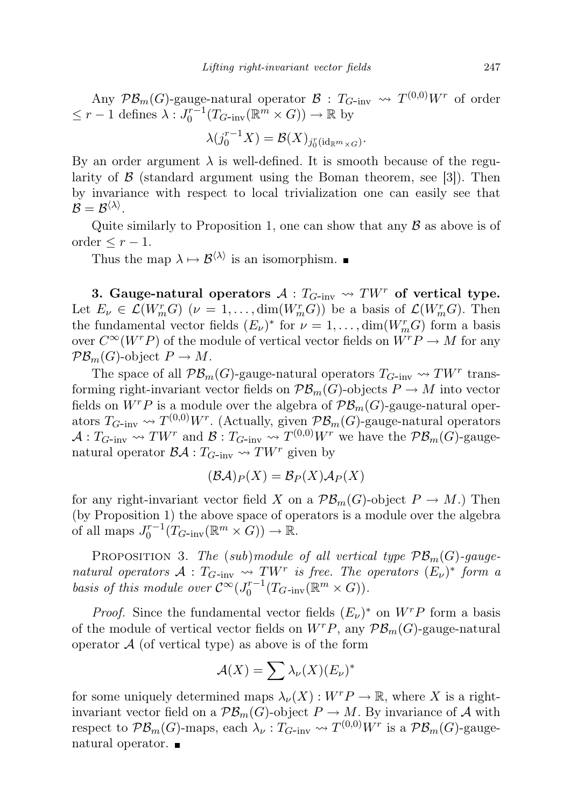Any  $\mathcal{PB}_m(G)$ -gauge-natural operator  $\mathcal{B}: T_{G-\text{inv}} \to T^{(0,0)}W^r$  of order  $\leq r-1$  defines  $\lambda: J_0^{r-1}(T_{G\text{-inv}}(\mathbb{R}^m \times G)) \to \mathbb{R}$  by

$$
\lambda(j_0^{r-1}X) = \mathcal{B}(X)_{j_0^r(\mathrm{id}_{\mathbb{R}^m \times G})}.
$$

By an order argument  $\lambda$  is well-defined. It is smooth because of the regularity of  $\beta$  (standard argument using the Boman theorem, see [3]). Then by invariance with respect to local trivialization one can easily see that  $\mathcal{B}=\mathcal{B}^{\langle\lambda\rangle}.$ 

Quite similarly to Proposition 1, one can show that any  $\beta$  as above is of order  $\leq r-1$ .

Thus the map  $\lambda \mapsto \mathcal{B}^{\langle \lambda \rangle}$  is an isomorphism.

3. Gauge-natural operators  $A: T_{G\text{-inv}} \rightsquigarrow TW^r$  of vertical type. Let  $E_{\nu} \in \mathcal{L}(W_m^r G)$   $(\nu = 1, \ldots, \dim(W_m^r G))$  be a basis of  $\mathcal{L}(W_m^r G)$ . Then the fundamental vector fields  $(E_{\nu})^*$  for  $\nu = 1, ..., dim(W_{m}^{r}G)$  form a basis over  $C^{\infty}(W^rP)$  of the module of vertical vector fields on  $W^rP \to M$  for any  $\mathcal{PB}_m(G)$ -object  $P \to M$ .

The space of all  $\mathcal{PB}_m(G)$ -gauge-natural operators  $T_{G\text{-inv}} \leadsto TW^r$  transforming right-invariant vector fields on  $\mathcal{PB}_m(G)$ -objects  $P \to M$  into vector fields on  $W^rP$  is a module over the algebra of  $\mathcal{PB}_m(G)$ -gauge-natural operators  $T_{G\text{-inv}} \rightsquigarrow T^{(0,0)}W^r$ . (Actually, given  $\mathcal{PB}_m(G)$ -gauge-natural operators  $\mathcal{A}: T_{G\text{-inv}} \leadsto TW^r$  and  $\mathcal{B}: T_{G\text{-inv}} \leadsto T^{(0,0)}W^r$  we have the  $\mathcal{PB}_m(G)$ -gaugenatural operator  $\mathcal{BA}: T_{G-inv} \rightsquigarrow TW^r$  given by

$$
(\mathcal{B}\mathcal{A})_P(X) = \mathcal{B}_P(X)\mathcal{A}_P(X)
$$

for any right-invariant vector field X on a  $\mathcal{PB}_m(G)$ -object  $P \to M$ .) Then (by Proposition 1) the above space of operators is a module over the algebra of all maps  $J_0^{r-1}(T_{G\text{-inv}}(\mathbb{R}^m \times G)) \to \mathbb{R}$ .

PROPOSITION 3. The (sub)module of all vertical type  $\mathcal{PB}_m(G)$ -gaugenatural operators  $\mathcal{A}: T_{G\text{-inv}} \leadsto TW^r$  is free. The operators  $(E_\nu)^*$  form a basis of this module over  $C^{\infty}(J_0^{r-1}(T_G-_{inv}(\mathbb{R}^m \times G)).$ 

*Proof.* Since the fundamental vector fields  $(E_{\nu})^*$  on  $W^r P$  form a basis of the module of vertical vector fields on  $W^rP$ , any  $\mathcal{PB}_m(G)$ -gauge-natural operator  $A$  (of vertical type) as above is of the form

$$
\mathcal{A}(X) = \sum \lambda_{\nu}(X) (E_{\nu})^*
$$

for some uniquely determined maps  $\lambda_{\nu}(X): W^{r} P \to \mathbb{R}$ , where X is a rightinvariant vector field on a  $\mathcal{PB}_m(G)$ -object  $P \to M$ . By invariance of A with respect to  $\mathcal{PB}_m(G)$ -maps, each  $\lambda_\nu : T_{G-\text{inv}} \leadsto T^{(0,0)}W^r$  is a  $\mathcal{PB}_m(G)$ -gaugenatural operator.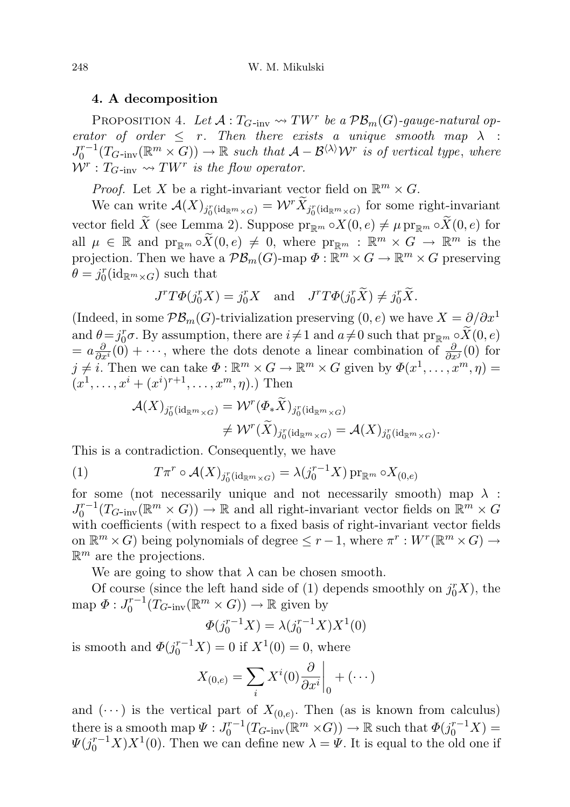## 4. A decomposition

PROPOSITION 4. Let  $\mathcal{A}: T_{G\text{-inv}} \leadsto TW^r$  be a  $\mathcal{PB}_m(G)\text{-}gauge-natural op$ erator of order  $\leq r$ . Then there exists a unique smooth map  $\lambda$  :  $J_0^{r-1}(T_G_{\text{inv}}(\mathbb{R}^m \times G)) \to \mathbb{R}$  such that  $\mathcal{A} - \mathcal{B}^{\langle \lambda \rangle} \mathcal{W}^r$  is of vertical type, where  $\mathcal{W}^r: T_{G\text{-inv}} \rightsquigarrow TW^r$  is the flow operator.

*Proof.* Let X be a right-invariant vector field on  $\mathbb{R}^m \times G$ .

We can write  $\mathcal{A}(X)_{j_0^r(\mathrm{id}_{\mathbb{R}^m\times G})}=\mathcal{W}^r\widetilde{X}_{j_0^r(\mathrm{id}_{\mathbb{R}^m\times G})}$  for some right-invariant vector field  $\widetilde{X}$  (see Lemma 2). Suppose  $\mathrm{pr}_{\mathbb{R}^m} \circ X(0, e) \neq \mu \mathrm{pr}_{\mathbb{R}^m} \circ \widetilde{X}(0, e)$  for all  $\mu \in \mathbb{R}$  and  $\text{pr}_{\mathbb{R}^m} \circ \widetilde{X}(0, e) \neq 0$ , where  $\text{pr}_{\mathbb{R}^m} : \mathbb{R}^m \times G \to \mathbb{R}^m$  is the projection. Then we have a  $\mathcal{PB}_m(G)$ -map  $\Phi: \mathbb{R}^m \times G \to \mathbb{R}^m \times G$  preserving  $\theta = j_0^r(\text{id}_{\mathbb{R}^m \times G})$  such that

$$
J^r T \Phi(j_0^r X) = j_0^r X \quad \text{and} \quad J^r T \Phi(j_0^r \widetilde{X}) \neq j_0^r \widetilde{X}.
$$

(Indeed, in some  $\mathcal{PB}_m(G)$ -trivialization preserving  $(0, e)$  we have  $X = \partial/\partial x^1$ and  $\theta = j_0^r \sigma$ . By assumption, there are  $i \neq 1$  and  $a \neq 0$  such that  $\text{pr}_{\mathbb{R}^m} \circ \widetilde{X}(0, e)$  $= a \frac{\partial}{\partial x^i}(0) + \cdots$ , where the dots denote a linear combination of  $\frac{\partial}{\partial x^j}(0)$  for  $j \neq i$ . Then we can take  $\Phi : \mathbb{R}^m \times G \to \mathbb{R}^m \times G$  given by  $\Phi(x^1, \ldots, x^m, \eta) =$  $(x^1, \ldots, x^i + (x^i)^{r+1}, \ldots, x^m, \eta)$ .) Then

$$
\begin{aligned} \mathcal{A}(X)_{j^r_0(\mathrm{id}_{\mathbb{R}^m\times G})} &=\mathcal{W}^r(\Phi_*\widetilde{X})_{j^r_0(\mathrm{id}_{\mathbb{R}^m\times G})}\\ &\neq \mathcal{W}^r(\widetilde{X})_{j^r_0(\mathrm{id}_{\mathbb{R}^m\times G})}=\mathcal{A}(X)_{j^r_0(\mathrm{id}_{\mathbb{R}^m\times G})}. \end{aligned}
$$

This is a contradiction. Consequently, we have

(1) 
$$
T\pi^r \circ \mathcal{A}(X)_{j_0^r(\mathrm{id}_{\mathbb{R}^m \times G})} = \lambda(j_0^{r-1}X) \operatorname{pr}_{\mathbb{R}^m} \circ X_{(0,e)}
$$

for some (not necessarily unique and not necessarily smooth) map  $\lambda$ :  $J_0^{r-1}(T_{G\text{-inv}}(\mathbb{R}^m \times G)) \to \mathbb{R}$  and all right-invariant vector fields on  $\mathbb{R}^m \times G$ with coefficients (with respect to a fixed basis of right-invariant vector fields on  $\mathbb{R}^m \times G$  being polynomials of degree  $\leq r-1$ , where  $\pi^r: W^r(\mathbb{R}^m \times G) \to$  $\mathbb{R}^m$  are the projections.

We are going to show that  $\lambda$  can be chosen smooth.

Of course (since the left hand side of (1) depends smoothly on  $j_0^r X$ ), the map  $\Phi: J_0^{r-1}(T_{G\text{-inv}}(\mathbb{R}^m \times G)) \to \mathbb{R}$  given by

$$
\Phi(j_0^{r-1}X) = \lambda(j_0^{r-1}X)X^1(0)
$$

is smooth and  $\Phi(j_0^{r-1}X) = 0$  if  $X^1(0) = 0$ , where

$$
X_{(0,e)} = \sum_{i} X^{i}(0) \frac{\partial}{\partial x^{i}} \bigg|_{0} + (\cdots)
$$

and  $(\cdots)$  is the vertical part of  $X_{(0,e)}$ . Then (as is known from calculus) there is a smooth map  $\Psi: J_0^{r-1}(T_{G\text{-inv}}(\mathbb{R}^m \times G)) \to \mathbb{R}$  such that  $\Phi(j_0^{r-1}X) =$  $\Psi(j_0^{r-1}X)X^1(0)$ . Then we can define new  $\lambda = \Psi$ . It is equal to the old one if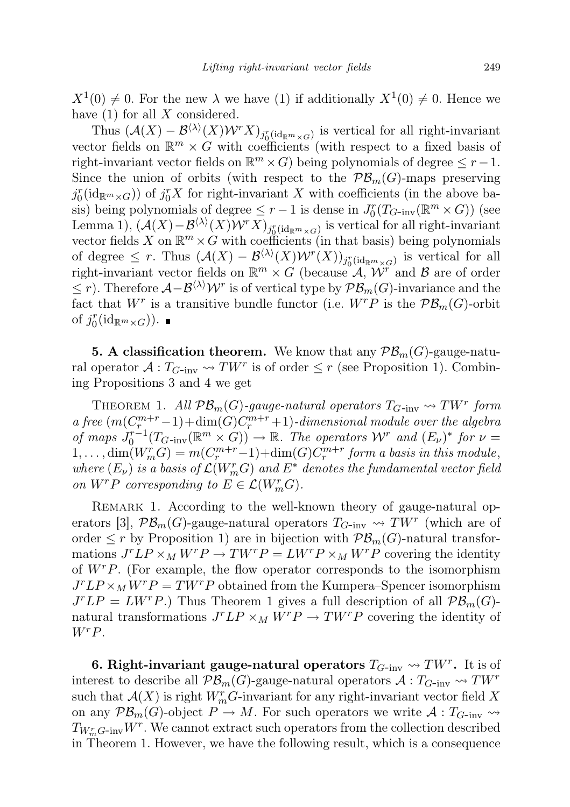$X^1(0) \neq 0$ . For the new  $\lambda$  we have (1) if additionally  $X^1(0) \neq 0$ . Hence we have  $(1)$  for all X considered.

Thus  $(\mathcal{A}(X) - \mathcal{B}^{\langle \lambda \rangle}(X) \mathcal{W}^r X)_{j_0^r(\mathrm{id}_{\mathbb{R}^m \times G})}$  is vertical for all right-invariant vector fields on  $\mathbb{R}^m \times G$  with coefficients (with respect to a fixed basis of right-invariant vector fields on  $\mathbb{R}^m \times G$  being polynomials of degree  $\leq r-1$ . Since the union of orbits (with respect to the  $\mathcal{PB}_m(G)$ -maps preserving  $j_0^r(\mathrm{id}_{\mathbb{R}^m\times G})$  of  $j_0^rX$  for right-invariant X with coefficients (in the above basis) being polynomials of degree  $\leq r-1$  is dense in  $J_0^r(T_{G\text{-inv}}(\mathbb{R}^m \times G))$  (see Lemma 1),  $(\mathcal{A}(X) - \mathcal{B}^{\langle \lambda \rangle}(X) \mathcal{W}^r X)_{j^r_{\underline{0}}(\mathrm{id}_{\mathbb{R}^m \times G})}$  is vertical for all right-invariant vector fields X on  $\mathbb{R}^m \times G$  with coefficients (in that basis) being polynomials of degree  $\leq r$ . Thus  $(\mathcal{A}(X) - \mathcal{B}^{(\lambda)}(X) \mathcal{W}^r(X))_{j_0^r(\text{id}_{\mathbb{R}^m \times G})}$  is vertical for all right-invariant vector fields on  $\mathbb{R}^m \times G$  (because  $\mathcal{A}, \mathcal{W}^r$  and  $\mathcal{B}$  are of order  $\leq$  r). Therefore  $\mathcal{A}-\mathcal{B}^{(\lambda)}\mathcal{W}^r$  is of vertical type by  $\mathcal{PB}_m(G)$ -invariance and the fact that  $W^r$  is a transitive bundle functor (i.e.  $W^r P$  is the  $\mathcal{PB}_m(G)$ -orbit of  $j_0^r(\text{id}_{\mathbb{R}^m \times G}))$ .

**5. A classification theorem.** We know that any  $\mathcal{PB}_m(G)$ -gauge-natural operator  $\mathcal{A}: T_{G-\text{inv}} \leadsto TW^r$  is of order  $\leq r$  (see Proposition 1). Combining Propositions 3 and 4 we get

THEOREM 1. All  $\mathcal{PB}_m(G)$ -gauge-natural operators  $T_{G\text{-inv}} \rightsquigarrow TW^r$  form a free  $(m(C_{r}^{m+r}-1)+\dim(G)C_{r}^{m+r}+1)$ -dimensional module over the algebra of maps  $J_0^{r-1}(T_{G\text{-inv}}(\mathbb{R}^m \times G)) \to \mathbb{R}$ . The operators  $W^r$  and  $(E_\nu)^*$  for  $\nu =$  $1, \ldots, \dim(W_m^r G) = m(C_r^{m+r}-1) + \dim(G)C_r^{m+r}$  form a basis in this module, where  $(E_{\nu})$  is a basis of  $\mathcal{L}(W_{m}^{r}G)$  and  $E^{*}$  denotes the fundamental vector field on  $W^r P$  corresponding to  $E \in \mathcal{L}(W_m^r G)$ .

REMARK 1. According to the well-known theory of gauge-natural operators [3],  $\mathcal{PB}_m(G)$ -gauge-natural operators  $T_{G\text{-inv}} \leadsto TW^r$  (which are of order  $\leq r$  by Proposition 1) are in bijection with  $\mathcal{PB}_m(G)$ -natural transformations  $J^r L P \times_M W^r P \to T W^r P = L W^r P \times_M W^r P$  covering the identity of  $W^rP$ . (For example, the flow operator corresponds to the isomorphism  $J^r L P \times_M W^r P = T W^r P$  obtained from the Kumpera–Spencer isomorphism  $J^{r}LP = LW^{r}P$ .) Thus Theorem 1 gives a full description of all  $\mathcal{PB}_{m}(G)$ natural transformations  $J^r L P \times_M W^r P \to T W^r P$  covering the identity of WrP.

6. Right-invariant gauge-natural operators  $T_{G\text{-inv}} \leadsto TW^r$ . It is of interest to describe all  $\mathcal{PB}_m(G)$ -gauge-natural operators  $\mathcal{A}:T_{G-inv}\to TW^r$ such that  $\mathcal{A}(X)$  is right  $W_m^r G$ -invariant for any right-invariant vector field X on any  $\mathcal{PB}_m(G)$ -object  $P \to M$ . For such operators we write  $\mathcal{A}: T_{G\text{-inv}} \to$  $T_{W_m^rG\text{-}\mathrm{inv}}W^r$ . We cannot extract such operators from the collection described in Theorem 1. However, we have the following result, which is a consequence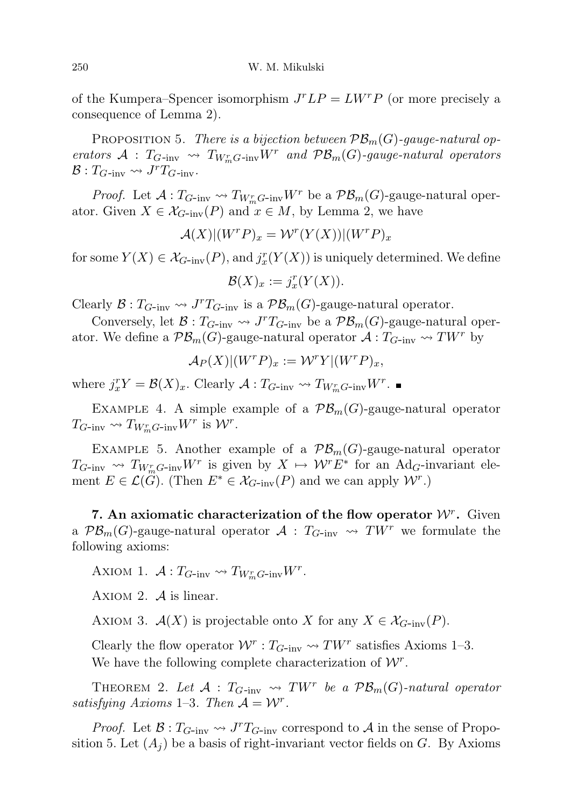of the Kumpera–Spencer isomorphism  $J^r L P = L W^r P$  (or more precisely a consequence of Lemma 2).

PROPOSITION 5. There is a bijection between  $\mathcal{PB}_m(G)$ -gauge-natural operators  $A: T_{G\text{-inv}} \leadsto T_{W_{m}^{r}G\text{-inv}}W^{r}$  and  $\mathcal{PB}_{m}(G)\text{-}gauge-natural$  operators  $\mathcal{B}: T_{G\text{-inv}} \rightsquigarrow J^r T_{G\text{-inv}}.$ 

*Proof.* Let  $A: T_{G\text{-inv}} \to T_{W_{\infty}^r G\text{-inv}} W^r$  be a  $\mathcal{PB}_m(G)$ -gauge-natural operator. Given  $X \in \mathcal{X}_{G\text{-inv}}(P)$  and  $x \in M$ , by Lemma 2, we have

$$
\mathcal{A}(X)|(W^rP)_x = \mathcal{W}^r(Y(X))|(W^rP)_x
$$

for some  $Y(X) \in \mathcal{X}_{G\text{-inv}}(P)$ , and  $j_x^r(Y(X))$  is uniquely determined. We define

$$
\mathcal{B}(X)_x := j_x^r(Y(X)).
$$

Clearly  $\mathcal{B}: T_{G-\text{inv}} \rightsquigarrow J^{r}T_{G-\text{inv}}$  is a  $\mathcal{PB}_{m}(G)$ -gauge-natural operator.

Conversely, let  $\mathcal{B}: T_{G\text{-inv}} \leadsto J^r T_{G\text{-inv}}$  be a  $\mathcal{PB}_m(G)$ -gauge-natural operator. We define a  $\mathcal{PB}_m(G)$ -gauge-natural operator  $\mathcal{A}:T_{G-inv}\to TW^r$  by

$$
\mathcal{A}_P(X)|(W^rP)_x := \mathcal{W}^rY|(W^rP)_x,
$$

where  $j_x^r Y = \mathcal{B}(X)_x$ . Clearly  $\mathcal{A}: T_{G\text{-inv}} \leadsto T_{W_m^r G\text{-inv}} W^r$ .

EXAMPLE 4. A simple example of a  $\mathcal{PB}_m(G)$ -gauge-natural operator  $T_{G\text{-inv}} \leadsto T_{W_m^r G\text{-inv}} W^r$  is  $\mathcal{W}^r$ .

EXAMPLE 5. Another example of a  $\mathcal{PB}_m(G)$ -gauge-natural operator  $T_{G\text{-inv}} \rightsquigarrow T_{W_m^r G\text{-inv}} W^r$  is given by  $X \mapsto W^r E^*$  for an Ad<sub>G</sub>-invariant element  $E \in \mathcal{L}(\ddot{G})$ . (Then  $E^* \in \mathcal{X}_{G\text{-inv}}(P)$  and we can apply  $\mathcal{W}^r$ .)

7. An axiomatic characterization of the flow operator  $W^r$ . Given a  $\mathcal{PB}_m(G)$ -gauge-natural operator  $\mathcal{A}: T_{G-inv} \rightsquigarrow TW^r$  we formulate the following axioms:

AXIOM 1.  $\mathcal{A}: T_{G\text{-inv}} \leadsto T_{W_{m}^{r}G\text{-inv}}W^{r}$ .

AXIOM 2.  $\mathcal A$  is linear.

AXIOM 3.  $\mathcal{A}(X)$  is projectable onto X for any  $X \in \mathcal{X}_{G\text{-inv}}(P)$ .

Clearly the flow operator  $W^r: T_{G\text{-inv}} \leadsto TW^r$  satisfies Axioms 1–3. We have the following complete characterization of  $\mathcal{W}^r$ .

THEOREM 2. Let  $\mathcal{A}$  :  $T_{G\text{-inv}} \rightsquigarrow TW^r$  be a  $\mathcal{PB}_m(G)\text{-}natural$  operator satisfying Axioms 1–3. Then  $A = W<sup>r</sup>$ .

*Proof.* Let  $\mathcal{B}: T_{G\text{-inv}} \leadsto J^T T_{G\text{-inv}}$  correspond to  $\mathcal{A}$  in the sense of Proposition 5. Let  $(A_i)$  be a basis of right-invariant vector fields on G. By Axioms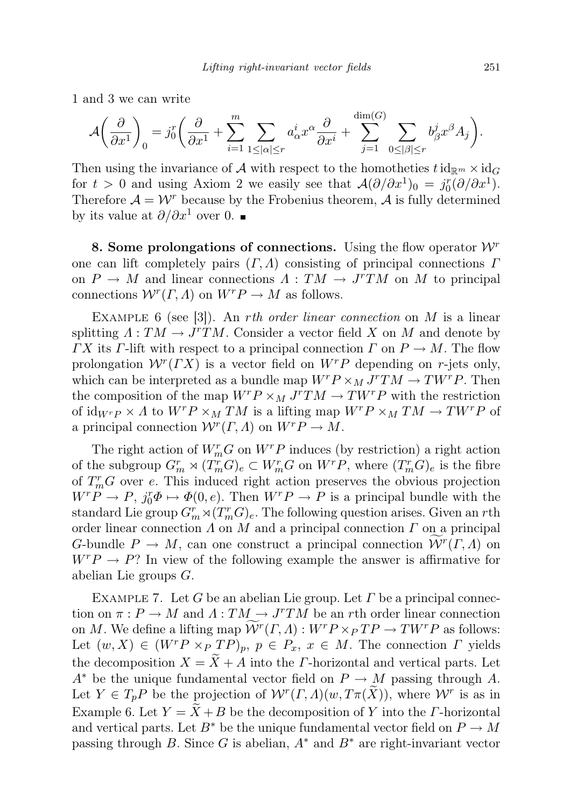1 and 3 we can write

$$
\mathcal{A}\left(\frac{\partial}{\partial x^1}\right)_0 = j_0^r \left(\frac{\partial}{\partial x^1} + \sum_{i=1}^m \sum_{1 \leq |\alpha| \leq r} a^i_{\alpha} x^{\alpha} \frac{\partial}{\partial x^i} + \sum_{j=1}^{\dim(G)} \sum_{0 \leq |\beta| \leq r} b^j_{\beta} x^{\beta} A_j\right).
$$

Then using the invariance of A with respect to the homotheties  $t \mathrm{id}_{\mathbb{R}^m} \times \mathrm{id}_G$ for  $t > 0$  and using Axiom 2 we easily see that  $\mathcal{A}(\partial/\partial x^1)_0 = j_0^r(\partial/\partial x^1)$ . Therefore  $\mathcal{A} = \mathcal{W}^r$  because by the Frobenius theorem,  $\mathcal{A}$  is fully determined by its value at  $\partial/\partial x^1$  over 0. ■

8. Some prolongations of connections. Using the flow operator  $\mathcal{W}^r$ one can lift completely pairs  $(\Gamma, \Lambda)$  consisting of principal connections  $\Gamma$ on  $P \to M$  and linear connections  $\Lambda : TM \to J^T TM$  on M to principal connections  $W^{r}(\Gamma, \Lambda)$  on  $W^{r}P \to M$  as follows.

EXAMPLE 6 (see [3]). An *rth order linear connection* on  $M$  is a linear splitting  $\Lambda: TM \to J^rTM$ . Consider a vector field X on M and denote by  $\Gamma X$  its  $\Gamma$ -lift with respect to a principal connection  $\Gamma$  on  $P \to M$ . The flow prolongation  $W^{r}(\Gamma X)$  is a vector field on  $W^{r}P$  depending on r-jets only, which can be interpreted as a bundle map  $W^r P \times_M J^r TM \to T W^r P$ . Then the composition of the map  $W^r P \times_M J^r TM \to T W^r P$  with the restriction of  $\mathrm{id}_{W^{r}P} \times A$  to  $W^{r}P \times_{M} TM$  is a lifting map  $W^{r}P \times_{M} TM \rightarrow TW^{r}P$  of a principal connection  $\mathcal{W}^r(\Gamma,\Lambda)$  on  $W^rP \to M$ .

The right action of  $W_m^r G$  on  $W^r P$  induces (by restriction) a right action of the subgroup  $G_m^r \rtimes (T_m^r G)_e \subset W_m^r G$  on  $W^r P$ , where  $(T_m^r G)_e$  is the fibre of  $T_m^r$ G over e. This induced right action preserves the obvious projection  $W^r P \to P$ ,  $j_0^r \Phi \mapsto \Phi(0, e)$ . Then  $W^r P \to P$  is a principal bundle with the standard Lie group  $G_m^r \rtimes (T_m^r G)_e$ . The following question arises. Given an rth order linear connection  $\Lambda$  on  $M$  and a principal connection  $\Gamma$  on a principal G-bundle  $P \to M$ , can one construct a principal connection  $\widetilde{\mathcal{W}}^r(\Gamma,\Lambda)$  on  $W^r P \to P$ ? In view of the following example the answer is affirmative for abelian Lie groups G.

EXAMPLE 7. Let G be an abelian Lie group. Let  $\Gamma$  be a principal connection on  $\pi : P \to M$  and  $\Lambda : TM \to J^rTM$  be an rth order linear connection on M. We define a lifting map  $\widetilde{\mathcal{W}}^r(\Gamma,\Lambda): W^r P \times_P TP \to TW^r P$  as follows: Let  $(w, X) \in (W^r P \times_P T P)_p$ ,  $p \in P_x$ ,  $x \in M$ . The connection  $\Gamma$  yields the decomposition  $X = \tilde{X} + A$  into the *Γ*-horizontal and vertical parts. Let  $A^*$  be the unique fundamental vector field on  $P \to M$  passing through A. Let  $Y \in T_p P$  be the projection of  $\mathcal{W}^r(\Gamma, \Lambda)(w, T\pi(\widetilde{X}))$ , where  $\mathcal{W}^r$  is as in Example 6. Let  $Y = \tilde{X} + B$  be the decomposition of Y into the *Γ*-horizontal and vertical parts. Let  $B^*$  be the unique fundamental vector field on  $P \to M$ passing through B. Since G is abelian,  $A^*$  and  $B^*$  are right-invariant vector